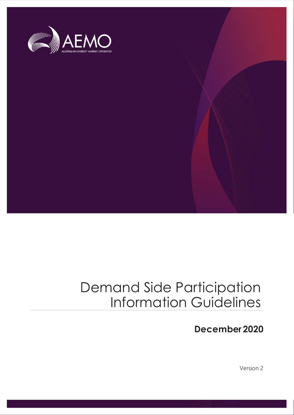

## Demand Side Participation Information Guidelines

## **December 2020**

Version 2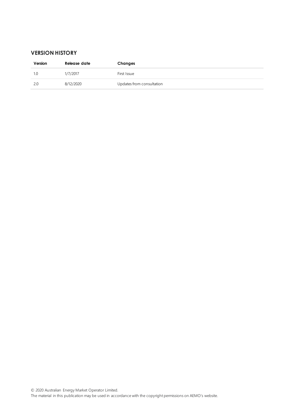#### **VERSION HISTORY**

| Version | Release date | Changes                   |
|---------|--------------|---------------------------|
| 1.0     | 1/7/2017     | First Issue               |
| 2.0     | 8/12/2020    | Updates from consultation |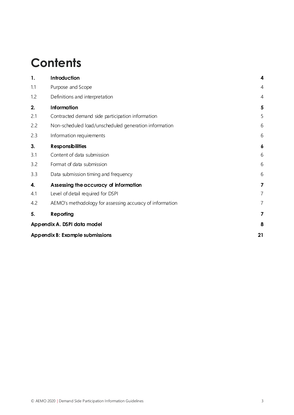## **Contents**

| 1.  | Introduction                                             | 4              |
|-----|----------------------------------------------------------|----------------|
| 1.1 | Purpose and Scope                                        | $\overline{4}$ |
| 1.2 | Definitions and interpretation                           | $\overline{4}$ |
| 2.  | <b>Information</b>                                       | 5              |
| 2.1 | Contracted demand side participation information         | 5              |
| 2.2 | Non-scheduled load/unscheduled generation information    | 6              |
| 2.3 | Information requirements                                 | 6              |
| 3.  | <b>Responsibilities</b>                                  | 6              |
| 3.1 | Content of data submission                               | 6              |
| 3.2 | Format of data submission                                | 6              |
| 3.3 | Data submission timing and frequency                     | 6              |
| 4.  | Assessing the accuracy of information                    | 7              |
| 4.1 | Level of detail required for DSPI                        | 7              |
| 4.2 | AEMO's methodology for assessing accuracy of information | 7              |
| 5.  | <b>Reporting</b>                                         | 7              |
|     | Appendix A. DSPI data model                              | 8              |
|     | Appendix B: Example submissions                          | 21             |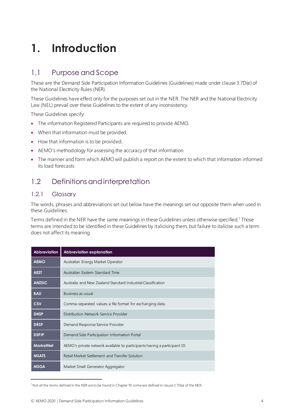## <span id="page-3-0"></span>**1. Introduction**

### <span id="page-3-1"></span>1.1 Purpose and Scope

These are the Demand Side Participation Information Guidelines (Guidelines) made under clause 3.7D(e) of the National Electricity Rules (NER).

These Guidelines have effect only for the purposes set out in the NER. The NER and the National Electricity Law (NEL) prevail over these Guidelines to the extent of any inconsistency.

These Guidelines specify:

- The information Registered Participants are required to provide AEMO.
- When that information must be provided.
- How that information is to be provided.
- AEMO's methodology for assessing the accuracy of that information.
- The manner and form which AEMO will publish a report on the extent to which that information informed its load forecasts

### <span id="page-3-2"></span>1.2 Definitions and interpretation

#### 1.2.1 Glossary

The words, phrases and abbreviations set out below have the meanings set out opposite them when used in these Guidelines.

Terms defined in the NER have the same meanings in these Guidelines unless otherwise specified.<sup>1</sup> Those terms are intended to be identified in these Guidelines by italicising them, but failure to italicise such a term does not affect its meaning.

| <b>Abbreviation</b> | Abbreviation explanation                                                  |
|---------------------|---------------------------------------------------------------------------|
| <b>AEMO</b>         | Australian Energy Market Operator                                         |
| <b>AEST</b>         | Australian Eastern Standard Time                                          |
| <b>ANZSIC</b>       | Australia and New Zealand Standard Industrial Classification              |
| <b>BAU</b>          | Business as usual                                                         |
| <b>CSV</b>          | Comma-separated values; a file format for exchanging data.                |
| <b>DNSP</b>         | Distribution Network Service Provider                                     |
| <b>DRSP</b>         | Demand Response Service Provider                                          |
| <b>DSPIP</b>        | Demand Side Participation Information Portal                              |
| <b>MarketNet</b>    | AEMO's private network available to participants having a participant ID. |
| <b>MSATS</b>        | Retail Market Settlement and Transfer Solution                            |
| <b>MSGA</b>         | Market Small Generator Aggregator                                         |

<sup>&</sup>lt;sup>1</sup> Not all the terms defined in the NER are to be found in Chapter 10; some are defined in clause 3.7D(a) of the NER.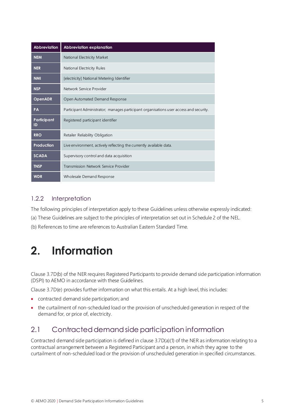| <b>Abbreviation</b> | Abbreviation explanation                                                               |
|---------------------|----------------------------------------------------------------------------------------|
| <b>NEM</b>          | National Electricity Market                                                            |
| <b>NER</b>          | National Electricity Rules                                                             |
| <b>NMI</b>          | [electricity] National Metering Identifier                                             |
| <b>NSP</b>          | Network Service Provider                                                               |
| <b>OpenADR</b>      | Open Automated Demand Response                                                         |
| <b>PA</b>           | Participant Administrator; manages participant organisations user access and security. |
| Participant<br>ID   | Registered participant identifier                                                      |
| <b>RRO</b>          | Retailer Reliability Obligation                                                        |
| Production          | Live environment, actively reflecting the currently available data.                    |
| <b>SCADA</b>        | Supervisory control and data acquisition                                               |
| <b>TNSP</b>         | Transmission Network Service Provider                                                  |
| <b>WDR</b>          | Wholesale Demand Response                                                              |

#### 1.2.2 Interpretation

The following principles of interpretation apply to these Guidelines unless otherwise expressly indicated:

(a) These Guidelines are subject to the principles of interpretation set out in Schedule 2 of the NEL.

<span id="page-4-0"></span>(b) References to time are references to Australian Eastern Standard Time.

## **2. Information**

Clause 3.7D(b) of the NER requires Registered Participants to provide demand side participation information (DSPI) to AEMO in accordance with these Guidelines.

Clause 3.7D(e) provides further information on what this entails. At a high level, this includes:

- contracted demand side participation; and
- the curtailment of non-scheduled load or the provision of unscheduled generation in respect of the demand for, or price of, electricity.

### <span id="page-4-1"></span>2.1 Contracted demand side participation information

Contracted demand side participation is defined in clause 3.7D(a)(1) of the NER as information relating to a contractual arrangement between a Registered Participant and a person, in which they agree to the curtailment of non-scheduled load or the provision of unscheduled generation in specified circumstances.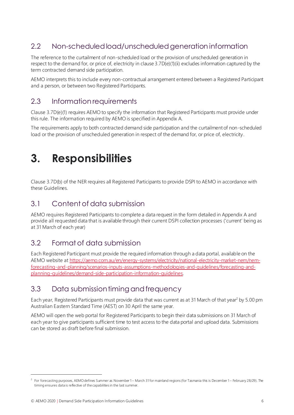## <span id="page-5-0"></span>2.2 Non-scheduled load/unscheduled generation information

The reference to the curtailment of non-scheduled load or the provision of unscheduled generation in respect to the demand for, or price of, electricity in clause 3.7D(e)(1)(ii) excludes information captured by the term contracted demand side participation.

AEMO interprets this to include every non-contractual arrangement entered between a Registered Participant and a person, or between two Registered Participants.

### <span id="page-5-1"></span>2.3 Information requirements

Clause 3.7D(e)(1) requires AEMO to specify the information that Registered Participants must provide under this rule. The information required by AEMO is specified in Appendix A.

The requirements apply to both contracted demand side participation and the curtailment of non-scheduled load or the provision of unscheduled generation in respect of the demand for, or price of, electricity.

## <span id="page-5-2"></span>**3. Responsibilities**

Clause 3.7D(b) of the NER requires all Registered Participants to provide DSPI to AEMO in accordance with these Guidelines.

### <span id="page-5-3"></span>3.1 Content of data submission

AEMO requires Registered Participants to complete a data request in the form detailed in Appendix A and provide all requested data that is available through their current DSPI collection processes ('current' being as at 31 March of each year)

### <span id="page-5-4"></span>3.2 Format of data submission

Each Registered Participant must provide the required information through a data portal, available on the AEMO website at [https://aemo.com.au/en/energy-systems/electricity/national-electricity-market-nem/nem](https://aemo.com.au/en/energy-systems/electricity/national-electricity-market-nem/nem-forecasting-and-planning/scenarios-inputs-assumptions-methodologies-and-guidelines/forecasting-and-planning-guidelines/demand-side-participation-information-guidelines)[forecasting-and-planning/scenarios-inputs-assumptions-methodologies-and-guidelines/forecasting-and](https://aemo.com.au/en/energy-systems/electricity/national-electricity-market-nem/nem-forecasting-and-planning/scenarios-inputs-assumptions-methodologies-and-guidelines/forecasting-and-planning-guidelines/demand-side-participation-information-guidelines)[planning-guidelines/demand-side-participation-information-guidelines](https://aemo.com.au/en/energy-systems/electricity/national-electricity-market-nem/nem-forecasting-and-planning/scenarios-inputs-assumptions-methodologies-and-guidelines/forecasting-and-planning-guidelines/demand-side-participation-information-guidelines).

### <span id="page-5-5"></span>3.3 Data submission timing and frequency

Each year, Registered Participants must provide data that was current as at 31 March of that year<sup>2</sup> by 5.00 pm Australian Eastern Standard Time (AEST) on 30 April the same year.

AEMO will open the web portal for Registered Participants to begin their data submissions on 31 March of each year to give participants sufficient time to test access to the data portal and upload data. Submissions can be stored as draft before final submission.

 $^2$  For forecasting purposes, AEMO defines Summer as November 1– March 31 for mainland regions (for Tasmania this is December 1– February 28/29). The timing ensures data is reflective of the capabilities in the last summer.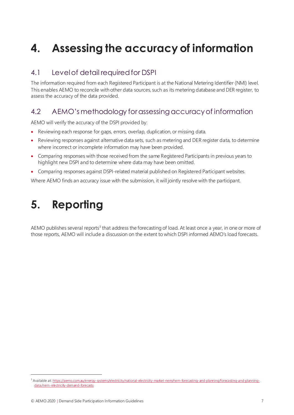## <span id="page-6-0"></span>**4. Assessing the accuracy of information**

## <span id="page-6-1"></span>4.1 Level of detail required for DSPI

The information required from each Registered Participant is at the National Metering Identifier (NMI) level. This enables AEMO to reconcile with other data sources, such as its metering database and DER register, to assess the accuracy of the data provided.

## <span id="page-6-2"></span>4.2 AEMO's methodology for assessing accuracy of information

AEMO will verify the accuracy of the DSPI provided by:

- Reviewing each response for gaps, errors, overlap, duplication, or missing data.
- Reviewing responses against alternative data sets, such as metering and DER register data, to determine where incorrect or incomplete information may have been provided.
- Comparing responses with those received from the same Registered Participants in previous years to highlight new DSPI and to determine where data may have been omitted.
- Comparing responses against DSPI-related material published on Registered Participant websites.

<span id="page-6-3"></span>Where AEMO finds an accuracy issue with the submission, it will jointly resolve with the participant.

## **5. Reporting**

AEMO publishes several reports<sup>3</sup> that address the forecasting of load. At least once a year, in one or more of those reports, AEMO will include a discussion on the extent to which DSPI informed AEMO's load forecasts.

<sup>&</sup>lt;sup>3</sup> Available a[t: https://aemo.com.au/energy-systems/electricity/national-electricity-market-nem/nem-forecasting-and-planning/forecasting-and-planning](https://aemo.com.au/energy-systems/electricity/national-electricity-market-nem/nem-forecasting-and-planning/forecasting-and-planning-data/nem-electricity-demand-forecasts)[data/nem-electricity-demand-forecasts](https://aemo.com.au/energy-systems/electricity/national-electricity-market-nem/nem-forecasting-and-planning/forecasting-and-planning-data/nem-electricity-demand-forecasts)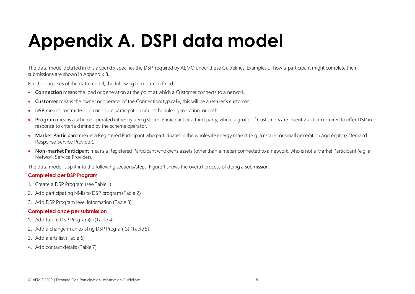# **Appendix A. DSPI data model**

The data model detailed in this appendix specifies the DSPI required by AEMO under these Guidelines. Examples of how a participant might complete their submissions are shown in Appendix B.

For the purposes of the data model, the following terms are defined:

- **Connection** means the load or generation at the point at which a Customer connects to a network.
- **Customer** means the owner or operator of the Connection; typically, this will be a retailer's customer.
- **DSP** means contracted demand side participation or unscheduled generation, or both.
- **Program** means a scheme operated either by a Registered Participant or a third party, where a group of Customers are incentivised or required to offer DSP in response to criteria defined by the scheme operator.
- **Market Participant** means a Registered Participant who participates in the wholesale energy market (e.g. a retailer or small generation aggregator/ Demand Response Service Provider).
- <span id="page-7-0"></span>• **Non-market Participant** means a Registered Participant who owns assets (other than a meter) connected to a network, who is not a Market Participant (e.g. a Network Service Provider).

The data model is split into the following sections/steps. Figure 1 shows the overall process of doing a submission.

#### **Completed per DSP Program**

- 1. Create a DSP Program (se[e Table 1](#page-8-0))
- 2. Add participating NMIs to DSP program [\(Table 2](#page-9-0))
- 3. Add DSP Program level Information [\(Table 3](#page-10-0))

#### **Completed once per submission**

- 1. Add future DSP Program(s) [\(Table 4](#page-16-0))
- 2. Add a change in an existing DSP Program(s) [\(Table 5](#page-17-0))
- 3. Add alerts list [\(Table 6](#page-19-0))
- 4. Add contact details [\(Table 7](#page-19-1))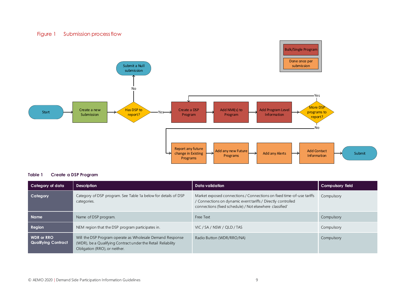#### Figure 1 Submission process flow



#### <span id="page-8-0"></span>**Table 1 Create a DSP Program**

| Category of data                                | <b>Description</b>                                                                                                                                         | Data validation                                                                                                                                                                                   | <b>Compulsory field</b> |
|-------------------------------------------------|------------------------------------------------------------------------------------------------------------------------------------------------------------|---------------------------------------------------------------------------------------------------------------------------------------------------------------------------------------------------|-------------------------|
| Category                                        | Category of DSP program. See Table 1a below for details of DSP<br>categories.                                                                              | Market exposed connections / Connections on fixed time-of-use tariffs<br>/ Connections on dynamic event tariffs / Directly controlled<br>connections (fixed schedule) / Not elsewhere classified' | Compulsory              |
| <b>Name</b>                                     | Name of DSP program.                                                                                                                                       | Free Text                                                                                                                                                                                         | Compulsory              |
| Region                                          | NEM region that the DSP program participates in.                                                                                                           | VIC / SA / NSW / QLD / TAS                                                                                                                                                                        | Compulsory              |
| <b>WDR</b> or RRO<br><b>Qualifying Contract</b> | Will the DSP Program operate as Wholesale Demand Response<br>(WDR), be a Qualifying Contract under the Retail Reliability<br>Obligation (RRO), or neither. | Radio Button (WDR/RRO/NA)                                                                                                                                                                         | Compulsory              |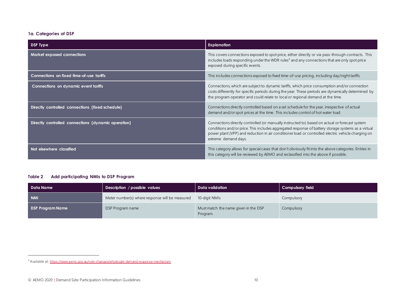#### **1a. Categories of DSP**

| DSP Type                                            | <b>Explanation</b>                                                                                                                                                                                                                                                                                                                 |
|-----------------------------------------------------|------------------------------------------------------------------------------------------------------------------------------------------------------------------------------------------------------------------------------------------------------------------------------------------------------------------------------------|
| <b>Market exposed connections</b>                   | This covers connections exposed to spot price, either directly or via pass-through contracts. This<br>includes loads responding under the WDR rules <sup>4</sup> and any connections that are only spot price<br>exposed during specific events.                                                                                   |
| Connections on fixed time-of-use tariffs            | This includes connections exposed to fixed time-of-use pricing, including day/night tariffs.                                                                                                                                                                                                                                       |
| Connections on dynamic event tariffs                | Connections, which are subject to dynamic tariffs, which price consumption and/or connection<br>costs differently for specific periods during the year. These periods are dynamically determined by<br>the program operator and could relate to local or regional demand at the time.                                              |
| Directly controlled connections (fixed schedule)    | Connections directly controlled based on a set schedule for the year, irrespective of actual<br>demand and/or spot prices at the time. This includes control of hot water load.                                                                                                                                                    |
| Directly controlled connections (dynamic operation) | Connections directly controlled (or manually instructed to) based on actual or forecast system<br>conditions and/or price. This includes aggregated response of battery storage systems as a virtual<br>power plant (VPP) and reduction in air conditioner load or controlled electric vehicle charging on<br>extreme demand days. |
| Not elsewhere classified                            | This category allows for special cases that don't obviously fit into the above categories. Entries in<br>this category will be reviewed by AEMO and reclassified into the above if possible.                                                                                                                                       |

#### <span id="page-9-0"></span>**Table 2 Add participating NMIs to DSP Program**

| Data Name               | Data validation<br>Description / possible values |                                                  | <b>Compulsory field</b> |
|-------------------------|--------------------------------------------------|--------------------------------------------------|-------------------------|
| <b>NMI</b>              | Meter number(s) where response will be measured  | 10-digit NMIs                                    | Compulsory              |
| <b>DSP Program Name</b> | DSP Program name                                 | Must match the name given in the DSP<br>Program. | Compulsory              |

<sup>4</sup> Available a[t: https://www.aemc.gov.au/rule-changes/wholesale-demand-response-mechanism](https://www.aemc.gov.au/rule-changes/wholesale-demand-response-mechanism)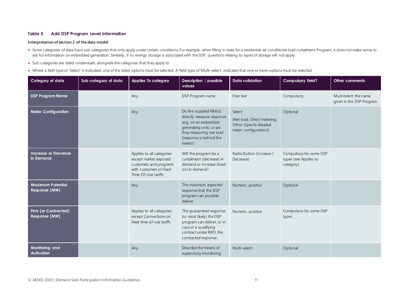#### <span id="page-10-0"></span>**Table 3 Add DSP Program Level Information**

#### **Interpretation of section 2 of the data model:**

- Some categories of data have sub-categories that only apply under certain conditions. For example, when filling in data for a residential air conditioner load curtailment Program, it does not make sense to ask for information on embedded generation. Similarly, if no energy storage is associated with the DSP, questions relating to types of storage will not apply.
- Sub-categories are listed underneath, alongside the categories that they apply to.
- Where a field type of 'Select' is indicated, one of the listed options must be selected. A field type of 'Multi-select' indicates that one or more options must be selected.

| Category of data                          | Sub-category of data | <b>Applies To category</b>                                                                                                     | Description / possible<br>values                                                                                                                                         | <b>Data validation</b>                                                                    | Compulsory field?                                             | Other comments                                   |
|-------------------------------------------|----------------------|--------------------------------------------------------------------------------------------------------------------------------|--------------------------------------------------------------------------------------------------------------------------------------------------------------------------|-------------------------------------------------------------------------------------------|---------------------------------------------------------------|--------------------------------------------------|
| <b>DSP Program Name</b>                   |                      | Any                                                                                                                            | DSP Program name                                                                                                                                                         | Free text                                                                                 | Compulsory                                                    | Must match the name<br>given in the DSP Program. |
| <b>Meter Configuration</b>                |                      | Any                                                                                                                            | Do the supplied NMI(s)<br>directly measure response<br>(e.g. on an embedded<br>generating unit), or are<br>they measuring net load<br>(response is behind the<br>meter)? | Select<br>{Net load, Direct metering,<br>Other (Specify detailed<br>meter configuration)} | Optional                                                      |                                                  |
| <b>Increase or Decrease</b><br>in Demand  |                      | Applies to all categories<br>except market exposed<br>customers and programs<br>with customers on fixed<br>Time-Of-Use tariffs | Will the program be a<br>curtailment (decrease) in<br>demand or increase (load-<br>on) in demand?                                                                        | Radio Button (Increase /<br>Decrease)                                                     | Compulsory for some DSP<br>types (see Applies to<br>category) |                                                  |
| <b>Maximum Potential</b><br>Response (MW) |                      | Any                                                                                                                            | The maximum expected<br>response that the DSP<br>program can possible<br>deliver                                                                                         | Numeric, positive                                                                         | Optional                                                      |                                                  |
| Firm (or Contracted)<br>Response (MW)     |                      | Applies to all categories<br>except Connections on<br>fixed time-of-use tariffs                                                | The guaranteed response<br>(or most likely) the DSP<br>program can deliver, or in<br>case of a qualifying<br>contract under RRO, the<br>contracted response.             | Numeric, positive                                                                         | Compulsory for some DSP<br>types                              |                                                  |
| Monitoring and<br><b>Activation</b>       |                      | Any                                                                                                                            | Describe the means of<br>supervisory monitoring                                                                                                                          | Multi-select                                                                              | Optional                                                      |                                                  |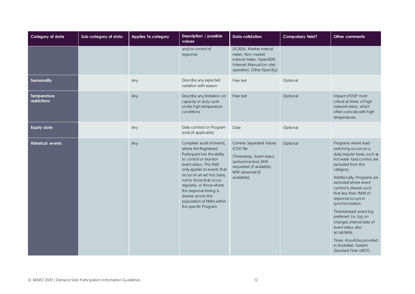| Category of data                   | Sub-category of data | Applies To category | Description / possible<br>values                                                                                                                                                                                                                                                                                                                               | <b>Data validation</b>                                                                                                                                   | Compulsory field? | Other comments                                                                                                                                                                                                                                                                                                                                                                                                                                                                                       |
|------------------------------------|----------------------|---------------------|----------------------------------------------------------------------------------------------------------------------------------------------------------------------------------------------------------------------------------------------------------------------------------------------------------------------------------------------------------------|----------------------------------------------------------------------------------------------------------------------------------------------------------|-------------------|------------------------------------------------------------------------------------------------------------------------------------------------------------------------------------------------------------------------------------------------------------------------------------------------------------------------------------------------------------------------------------------------------------------------------------------------------------------------------------------------------|
|                                    |                      |                     | and/or control of<br>response                                                                                                                                                                                                                                                                                                                                  | {SCADA, Market interval<br>meter, Non-market<br>interval meter, OpenADR,<br>Internet, Manual (on-site)<br>operation, Other (Specify)}                    |                   |                                                                                                                                                                                                                                                                                                                                                                                                                                                                                                      |
| Seasonality                        |                      | Any                 | Describe any expected<br>variation with season                                                                                                                                                                                                                                                                                                                 | Free text                                                                                                                                                | Optional          |                                                                                                                                                                                                                                                                                                                                                                                                                                                                                                      |
| <b>Temperature</b><br>restrictions |                      | Any                 | Describe any limitation on<br>capacity or duty cycle<br>under high temperature<br>conditions                                                                                                                                                                                                                                                                   | Free text                                                                                                                                                | Optional          | Impact of DSP most<br>critical at times of high<br>network stress, which<br>often coincide with high<br>temperatures.                                                                                                                                                                                                                                                                                                                                                                                |
| <b>Expiry date</b>                 |                      | Any                 | Date contract or Program<br>ends (if applicable).                                                                                                                                                                                                                                                                                                              | Date                                                                                                                                                     | Optional          |                                                                                                                                                                                                                                                                                                                                                                                                                                                                                                      |
| <b>Historical events</b>           |                      | Any                 | Complete audit of events,<br>where the Registered<br>Participant has the ability<br>to control or monitor<br>event status. This field<br>only applies to events that<br>occur on an ad-hoc basis,<br>not to those that occur<br>regularly, or those where<br>the response timing is<br>diverse across the<br>population of NMIs within<br>the specific Program | Comma Separated Values<br>(CSV) file<br>{Timestamp, Event status<br>(active/inactive), MW<br>requested (if available),<br>MW observed (if<br>available)} | Optional          | Programs where load<br>switching occurs on a<br>daily/regular basis, such as<br>hot water load control, are<br>excluded from this<br>category.<br>Additionally, Programs are<br>excluded where event<br>control is diverse such<br>that less than 1MW of<br>response occurs in<br>synchronisation.<br>Timestamped event log<br>preferred (i.e. log on<br>change), interval data of<br>event status also<br>acceptable.<br>Times should be provided<br>in Australian Eastern<br>Standard Time (AEST). |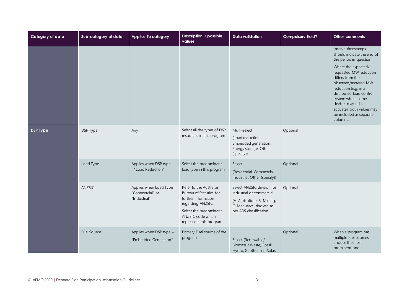| Category of data | Sub-category of data | <b>Applies To category</b>                                  | Description / possible<br>values                                                                                                                                         | <b>Data validation</b>                                                                                                                       | Compulsory field? | Other comments                                                                                                                                                                                                                                                                                                                                |
|------------------|----------------------|-------------------------------------------------------------|--------------------------------------------------------------------------------------------------------------------------------------------------------------------------|----------------------------------------------------------------------------------------------------------------------------------------------|-------------------|-----------------------------------------------------------------------------------------------------------------------------------------------------------------------------------------------------------------------------------------------------------------------------------------------------------------------------------------------|
|                  |                      |                                                             |                                                                                                                                                                          |                                                                                                                                              |                   | Interval timestamps<br>should indicate the end of<br>the period in question.<br>Where the expected/<br>requested MW reduction<br>differs from the<br>observed/metered MW<br>reduction (e.g. in a<br>distributed load control<br>system where some<br>devices may fail to<br>activate), both values may<br>be included as separate<br>columns. |
| <b>DSP Type</b>  | DSP Type             | Any                                                         | Select all the types of DSP<br>resources in this program                                                                                                                 | Multi-select<br>{Load reduction,<br>Embedded generation,<br>Energy storage, Other<br>(specify)}                                              | Optional          |                                                                                                                                                                                                                                                                                                                                               |
|                  | Load Type            | Applies when DSP type<br>$=$ "Load Reduction"               | Select the predominant<br>load type in this program                                                                                                                      | Select<br>{Residential, Commercial,<br>Industrial, Other (specify)}                                                                          | Optional          |                                                                                                                                                                                                                                                                                                                                               |
|                  | ANZSIC               | Applies when Load Type =<br>"Commercial" or<br>"Industrial" | Refer to the Australian<br>Bureau of Statistics for<br>further information<br>regarding ANZSIC<br>Select the predominant<br>ANZSIC code which<br>represents this program | Select ANZSIC division for<br>industrial or commercial<br>{A. Agriculture, B. Mining,<br>C. Manufacturing etc. as<br>per ABS classification} | Optional          |                                                                                                                                                                                                                                                                                                                                               |
|                  | <b>Fuel Source</b>   | Applies when DSP type =<br>"Embedded Generation"            | Primary Fuel source of the<br>program.                                                                                                                                   | Select {Renewable/<br>Biomass / Waste, Fossil,<br>Hydro, Geothermal, Solar,                                                                  | Optional          | When a program has<br>multiple fuel sources,<br>choose the most<br>prominent one                                                                                                                                                                                                                                                              |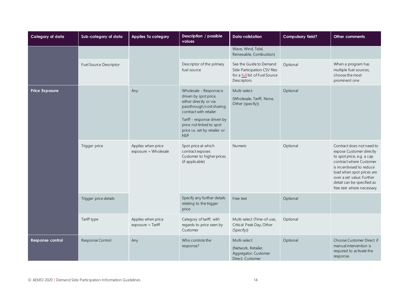| Category of data      | Sub-category of data          | <b>Applies To category</b>                 | Description / possible<br>values                                                                                                                                                                                                           | Data validation                                                                                           | Compulsory field? | Other comments                                                                                                                                                                                                                                                   |
|-----------------------|-------------------------------|--------------------------------------------|--------------------------------------------------------------------------------------------------------------------------------------------------------------------------------------------------------------------------------------------|-----------------------------------------------------------------------------------------------------------|-------------------|------------------------------------------------------------------------------------------------------------------------------------------------------------------------------------------------------------------------------------------------------------------|
|                       |                               |                                            |                                                                                                                                                                                                                                            | Wave, Wind, Tidal,<br>Renewable, Combustion}                                                              |                   |                                                                                                                                                                                                                                                                  |
|                       | <b>Fuel Source Descriptor</b> |                                            | Descriptor of the primary<br>fuel source                                                                                                                                                                                                   | See the Guide to Demand<br>Side Participation CSV files<br>for a full list of Fuel Source<br>Descriptors. | Optional          | When a program has<br>multiple fuel sources,<br>choose the most<br>prominent one                                                                                                                                                                                 |
| <b>Price Exposure</b> |                               | Any                                        | Wholesale - Response is<br>driven by spot price,<br>either directly or via<br>passthrough/cost sharing<br>contract with retailer<br>Tariff - response driven by<br>price not linked to spot<br>price i.e. set by retailer or<br><b>NSP</b> | Multi-select<br>{Wholesale, Tariff, None,<br>Other (specify)}                                             | Optional          |                                                                                                                                                                                                                                                                  |
|                       | Trigger price                 | Applies when price<br>exposure = Wholesale | Spot price at which<br>contract exposes<br>Customer to higher prices<br>(if applicable)                                                                                                                                                    | Numeric                                                                                                   | Optional          | Contract does not need to<br>expose Customer directly<br>to spot price, e.g. a cap<br>contract where Customer<br>is incentivised to reduce<br>load when spot prices are<br>over a set value. Further<br>detail can be specified as<br>free text where necessary. |
|                       | Trigger price details         |                                            | Specify any further details<br>relating to the trigger<br>price                                                                                                                                                                            | Free text                                                                                                 | Optional          |                                                                                                                                                                                                                                                                  |
|                       | Tariff type                   | Applies when price<br>$exposure = Tariff$  | Category of tariff, with<br>regards to price seen by<br>Customer                                                                                                                                                                           | Multi-select {Time-of-use,<br>Critical Peak Day, Other<br>(Specify)}                                      | Optional          |                                                                                                                                                                                                                                                                  |
| Response control      | Response Control              | Any                                        | Who controls the<br>response?                                                                                                                                                                                                              | Multi-select<br>{Network, Retailer,<br>Aggregator, Customer<br>Direct, Customer                           | Optional          | Choose Customer Direct if<br>manual intervention is<br>required to activate the<br>response.                                                                                                                                                                     |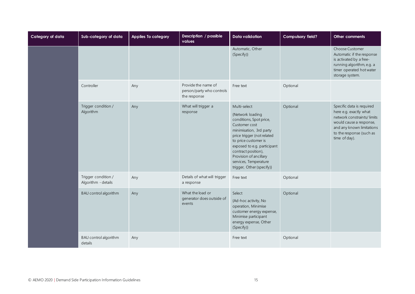| Category of data | Sub-category of data                       | Applies To category | Description / possible<br>values                                 | <b>Data validation</b>                                                                                                                                                                                                                                                                              | Compulsory field? | Other comments                                                                                                                                                                         |
|------------------|--------------------------------------------|---------------------|------------------------------------------------------------------|-----------------------------------------------------------------------------------------------------------------------------------------------------------------------------------------------------------------------------------------------------------------------------------------------------|-------------------|----------------------------------------------------------------------------------------------------------------------------------------------------------------------------------------|
|                  |                                            |                     |                                                                  | Automatic, Other<br>(Specify)}                                                                                                                                                                                                                                                                      |                   | Choose Customer<br>Automatic if the response<br>is activated by a free-<br>running algorithm, e.g. a<br>timer operated hot water<br>storage system.                                    |
|                  | Controller                                 | Any                 | Provide the name of<br>person/party who controls<br>the response | Free text                                                                                                                                                                                                                                                                                           | Optional          |                                                                                                                                                                                        |
|                  | Trigger condition /<br>Algorithm           | Any                 | What will trigger a<br>response                                  | Multi-select<br>{Network loading<br>conditions, Spot price,<br>Customer cost<br>minimisation, 3rd party<br>price trigger (not related<br>to price customer is<br>exposed to e.g. participant<br>contract position),<br>Provision of ancillary<br>services, Temperature<br>trigger, Other (specify)} | Optional          | Specific data is required<br>here e.g. exactly what<br>network constraints/limits<br>would cause a response,<br>and any known limitations<br>to the response (such as<br>time of day). |
|                  | Trigger condition /<br>Algorithm - details | Any                 | Details of what will trigger<br>a response                       | Free text                                                                                                                                                                                                                                                                                           | Optional          |                                                                                                                                                                                        |
|                  | BAU control algorithm                      | Any                 | What the load or<br>generator does outside of<br>events          | Select<br>{Ad-hoc activity, No<br>operation, Minimise<br>customer energy expense,<br>Minimise participant<br>energy expense, Other<br>(Specify)}                                                                                                                                                    | Optional          |                                                                                                                                                                                        |
|                  | BAU control algorithm<br>details           | Any                 |                                                                  | Free text                                                                                                                                                                                                                                                                                           | Optional          |                                                                                                                                                                                        |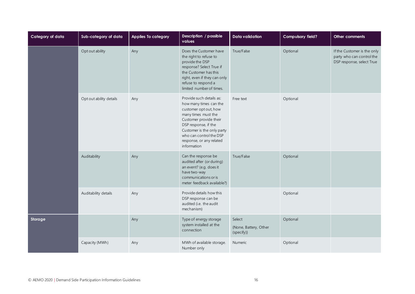| Category of data | Sub-category of data    | Applies To category | Description / possible<br>values                                                                                                                                                                                                                         | <b>Data validation</b>                        | Compulsory field? | Other comments                                                                        |
|------------------|-------------------------|---------------------|----------------------------------------------------------------------------------------------------------------------------------------------------------------------------------------------------------------------------------------------------------|-----------------------------------------------|-------------------|---------------------------------------------------------------------------------------|
|                  | Opt out ability         | Any                 | Does the Customer have<br>the right to refuse to<br>provide the DSP<br>response? Select True if<br>the Customer has this<br>right, even if they can only<br>refuse to respond a<br>limited number of times.                                              | True/False                                    | Optional          | If the Customer is the only<br>party who can control the<br>DSP response, select True |
|                  | Opt out ability details | Any                 | Provide such details as:<br>how many times can the<br>customer opt out, how<br>many times must the<br>Customer provide their<br>DSP response, if the<br>Customer is the only party<br>who can control the DSP<br>response, or any related<br>information | Free text                                     | Optional          |                                                                                       |
|                  | Auditability            | Any                 | Can the response be<br>audited after (or during)<br>an event? (e.g. does it<br>have two-way<br>communications or is<br>meter feedback available?)                                                                                                        | True/False                                    | Optional          |                                                                                       |
|                  | Auditability details    | Any                 | Provide details how this<br>DSP response can be<br>audited (i.e. the audit<br>mechanism)                                                                                                                                                                 |                                               | Optional          |                                                                                       |
| Storage          |                         | Any                 | Type of energy storage<br>system installed at the<br>connection                                                                                                                                                                                          | Select<br>{None, Battery, Other<br>(specify)} | Optional          |                                                                                       |
|                  | Capacity (MWh)          | Any                 | MWh of available storage.<br>Number only                                                                                                                                                                                                                 | Numeric                                       | Optional          |                                                                                       |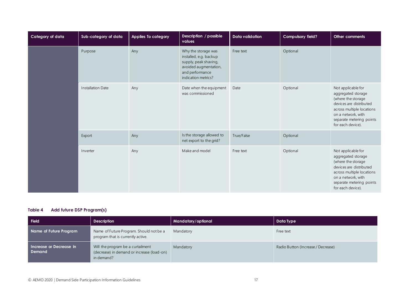| Category of data | Sub-category of data            | Applies To category                         | Description / possible<br>values                                                                                                          | <b>Data validation</b> | Compulsory field?                                                                                                                                                                             | Other comments                                                                                                                                                                                |
|------------------|---------------------------------|---------------------------------------------|-------------------------------------------------------------------------------------------------------------------------------------------|------------------------|-----------------------------------------------------------------------------------------------------------------------------------------------------------------------------------------------|-----------------------------------------------------------------------------------------------------------------------------------------------------------------------------------------------|
|                  | Purpose                         | Any                                         | Why the storage was<br>installed, e.g. backup<br>supply, peak shaving,<br>avoided augmentation,<br>and performance<br>indication metrics? | Free text              | Optional                                                                                                                                                                                      |                                                                                                                                                                                               |
|                  | <b>Installation Date</b><br>Any | Date when the equipment<br>was commissioned | Date                                                                                                                                      | Optional               | Not applicable for<br>aggregated storage<br>(where the storage<br>devices are distributed<br>across multiple locations<br>on a network, with<br>separate metering points<br>for each device). |                                                                                                                                                                                               |
|                  | Export                          | Any                                         | Is the storage allowed to<br>net export to the grid?                                                                                      | True/False             | Optional                                                                                                                                                                                      |                                                                                                                                                                                               |
|                  | Inverter                        | Any                                         | Make and model                                                                                                                            | Free text              | Optional                                                                                                                                                                                      | Not applicable for<br>aggregated storage<br>(where the storage<br>devices are distributed<br>across multiple locations<br>on a network, with<br>separate metering points<br>for each device). |

#### <span id="page-16-0"></span>**Table 4 Add future DSP Program(s)**

| Field                             | <b>Description</b>                                                                            | Mandatory/optional | Data Type                          |
|-----------------------------------|-----------------------------------------------------------------------------------------------|--------------------|------------------------------------|
| Name of Future Program            | Name of Future Program. Should not be a<br>program that is currently active.                  | Mandatory          | Free text                          |
| Increase or Decrease in<br>Demand | Will the program be a curtailment<br>(decrease) in demand or increase (load-on)<br>in demand? | Mandatory          | Radio Button (Increase / Decrease) |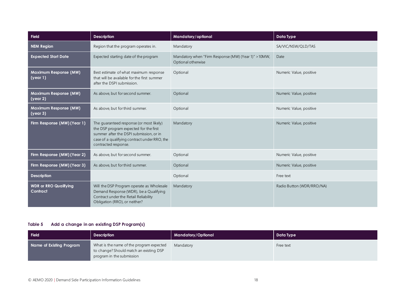| <b>Field</b>                             | <b>Description</b>                                                                                                                                                                                    | Mandatory/optional                                                         | Data Type                 |
|------------------------------------------|-------------------------------------------------------------------------------------------------------------------------------------------------------------------------------------------------------|----------------------------------------------------------------------------|---------------------------|
| <b>NEM Region</b>                        | Region that the program operates in.                                                                                                                                                                  | Mandatory                                                                  | SA/VIC/NSW/QLD/TAS        |
| <b>Expected Start Date</b>               | Expected starting date of the program                                                                                                                                                                 | Mandatory when "Firm Response (MW) (Year 1)" > 10MW,<br>Optional otherwise | Date                      |
| Maximum Response (MW)<br>(year 1)        | Best estimate of what maximum response<br>that will be available for the first summer<br>after the DSPI submission.                                                                                   | Optional                                                                   | Numeric Value, positive   |
| Maximum Response (MW)<br>(year 2)        | As above, but for second summer.                                                                                                                                                                      | Optional                                                                   | Numeric Value, positive   |
| Maximum Response (MW)<br>(year 3)        | As above, but for third summer.                                                                                                                                                                       | Optional                                                                   | Numeric Value, positive   |
| Firm Response (MW) (Year 1)              | The guaranteed response (or most likely)<br>the DSP program expected for the first<br>summer after the DSPI submission, or in<br>case of a qualifying contract under RRO, the<br>contracted response. | Mandatory                                                                  | Numeric Value, positive   |
| Firm Response (MW) (Year 2)              | As above, but for second summer.                                                                                                                                                                      | Optional                                                                   | Numeric Value, positive   |
| Firm Response (MW) (Year 3)              | As above, but for third summer.                                                                                                                                                                       | Optional                                                                   | Numeric Value, positive   |
| <b>Description</b>                       |                                                                                                                                                                                                       | Optional                                                                   | Free text                 |
| <b>WDR</b> or RRO Qualifying<br>Contract | Will the DSP Program operate as Wholesale<br>Demand Response (WDR), be a Qualifying<br>Contract under the Retail Reliability<br>Obligation (RRO), or neither?                                         | Mandatory                                                                  | Radio Button (WDR/RRO/NA) |

#### <span id="page-17-0"></span>**Table 5 Add a change in an existing DSP Program(s)**

| <b>Field</b>             | <b>Description</b>                                                                                               | Mandatory/Optional | Data Type |
|--------------------------|------------------------------------------------------------------------------------------------------------------|--------------------|-----------|
| Name of Existing Program | What is the name of the program expected<br>to change? Should match an existing DSP<br>program in the submission | Mandatory          | Free text |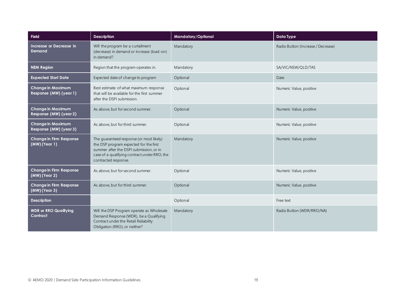| <b>Field</b>                                       | <b>Description</b>                                                                                                                                                                                    | Mandatory/Optional | <b>Data Type</b>                   |
|----------------------------------------------------|-------------------------------------------------------------------------------------------------------------------------------------------------------------------------------------------------------|--------------------|------------------------------------|
| Increase or Decrease in<br><b>Demand</b>           | Will the program be a curtailment<br>(decrease) in demand or increase (load-on)<br>in demand?                                                                                                         | Mandatory          | Radio Button (Increase / Decrease) |
| <b>NEM Region</b>                                  | Region that the program operates in.                                                                                                                                                                  | Mandatory          | SA/VIC/NSW/QLD/TAS                 |
| <b>Expected Start Date</b>                         | Expected date of change to program                                                                                                                                                                    | Optional           | Date                               |
| <b>Change in Maximum</b><br>Response (MW) (year 1) | Best estimate of what maximum response<br>that will be available for the first summer<br>after the DSPI submission.                                                                                   | Optional           | Numeric Value, positive            |
| <b>Change in Maximum</b><br>Response (MW) (year 2) | As above, but for second summer.                                                                                                                                                                      | Optional           | Numeric Value, positive            |
| <b>Change in Maximum</b><br>Response (MW) (year 3) | As above, but for third summer.                                                                                                                                                                       | Optional           | Numeric Value, positive            |
| <b>Change in Firm Response</b><br>(MW) (Year 1)    | The guaranteed response (or most likely)<br>the DSP program expected for the first<br>summer after the DSPI submission, or in<br>case of a qualifying contract under RRO, the<br>contracted response. | Mandatory          | Numeric Value, positive            |
| <b>Change in Firm Response</b><br>(MW) (Year 2)    | As above, but for second summer.                                                                                                                                                                      | Optional           | Numeric Value, positive            |
| <b>Change in Firm Response</b><br>(MW) (Year 3)    | As above, but for third summer.                                                                                                                                                                       | Optional           | Numeric Value, positive            |
| <b>Description</b>                                 |                                                                                                                                                                                                       | Optional           | Free text                          |
| <b>WDR or RRO Qualifying</b><br>Contract           | Will the DSP Program operate as Wholesale<br>Demand Response (WDR), be a Qualifying<br>Contract under the Retail Reliability<br>Obligation (RRO), or neither?                                         | Mandatory          | Radio Button (WDR/RRO/NA)          |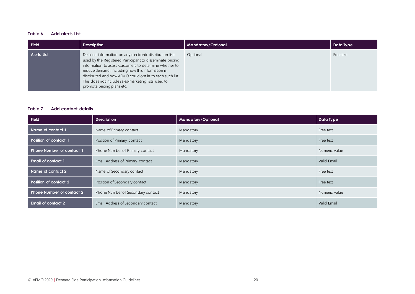#### <span id="page-19-0"></span>**Table 6 Add alerts List**

| <b>Field</b>       | <b>Description</b>                                                                                                                                                                                                                                                                                                                                                                     | <b>Mandatory/Optional</b> | Data Type |
|--------------------|----------------------------------------------------------------------------------------------------------------------------------------------------------------------------------------------------------------------------------------------------------------------------------------------------------------------------------------------------------------------------------------|---------------------------|-----------|
| <b>Alerts List</b> | Detailed information on any electronic distribution lists<br>used by the Registered Participant to disseminate pricing<br>information to assist Customers to determine whether to<br>reduce demand, including how this information is<br>distributed and how AEMO could opt in to each such list.<br>This does not include sales/marketing lists used to<br>promote pricing plans etc. | Optional                  | Free text |

#### <span id="page-19-1"></span>**Table 7 Add contact details**

| <b>Field</b>                     | <b>Description</b>                 | Mandatory/Optional | Data Type     |
|----------------------------------|------------------------------------|--------------------|---------------|
| Name of contact 1                | Name of Primary contact            | Mandatory          | Free text     |
| Position of contact 1            | Position of Primary contact        | Mandatory          | Free text     |
| <b>Phone Number of contact 1</b> | Phone Number of Primary contact    | Mandatory          | Numeric value |
| <b>Email of contact 1</b>        | Email Address of Primary contact   | Mandatory          | Valid Email   |
| Name of contact 2                | Name of Secondary contact          | Mandatory          | Free text     |
| Position of contact 2            | Position of Secondary contact      | Mandatory          | Free text     |
| Phone Number of contact 2        | Phone Number of Secondary contact  | Mandatory          | Numeric value |
| <b>Email of contact 2</b>        | Email Address of Secondary contact | Mandatory          | Valid Email   |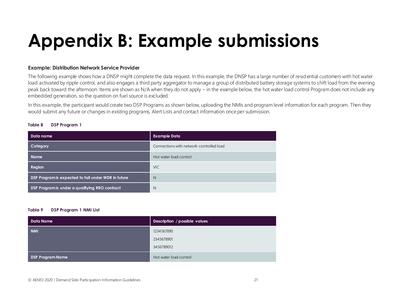# **Appendix B: Example submissions**

#### **Example: Distribution Network Service Provider**

The following example shows how a DNSP might complete the data request. In this example, the DNSP has a large number of resid ential customers with hot water load activated by ripple control, and also engages a third party aggregator to manage a group of distributed battery storage systems to shift load from the evening peak back toward the afternoon. Items are shown as N/A when they do not apply – in the example below, the hot water load control Program does not include any embedded generation, so the question on fuel source is excluded.

In this example, the participant would create two DSP Programs as shown below, uploading the NMIs and program level information for each program. Then they would submit any future or changes in existing programs, Alert Lists and contact information once per submission.

<span id="page-20-0"></span>

| Data name                                           | <b>Example Data</b>                      |
|-----------------------------------------------------|------------------------------------------|
| Category                                            | Connections with network-controlled load |
| <b>Name</b>                                         | Hot water load control                   |
| Region                                              | <b>VIC</b>                               |
| DSP Program is expected to fall under WDR in future | N                                        |
| DSP Program is under a qualifying RRO contract      | N                                        |

#### **Table 9 DSP Program 1 NMI List**

| <b>Data Name</b>        | Description / possible values |
|-------------------------|-------------------------------|
| <b>NMI</b>              | 1234567890                    |
|                         | 2345678901                    |
|                         | 3456789012                    |
| <b>DSP Program Name</b> | Hot water load control        |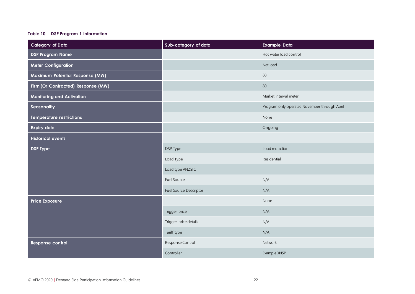#### **Table 10 DSP Program 1 Information**

| <b>Category of Data</b>            | Sub-category of data   | <b>Example Data</b>                          |
|------------------------------------|------------------------|----------------------------------------------|
| <b>DSP Program Name</b>            |                        | Hot water load control                       |
| <b>Meter Configuration</b>         |                        | Net load                                     |
| Maximum Potential Response (MW)    |                        | 88                                           |
| Firm (Or Contracted) Response (MW) |                        | 80                                           |
| <b>Monitoring and Activation</b>   |                        | Market interval meter                        |
| Seasonality                        |                        | Program only operates November through April |
| <b>Temperature restrictions</b>    |                        | None                                         |
| <b>Expiry date</b>                 |                        | Ongoing                                      |
| <b>Historical events</b>           |                        |                                              |
| <b>DSP Type</b>                    | DSP Type               | Load reduction                               |
|                                    | Load Type              | Residential                                  |
|                                    | Load type ANZSIC       |                                              |
|                                    | Fuel Source            | N/A                                          |
|                                    | Fuel Source Descriptor | N/A                                          |
| <b>Price Exposure</b>              |                        | None                                         |
|                                    | Trigger price          | N/A                                          |
|                                    | Trigger price details  | N/A                                          |
|                                    | Tariff type            | N/A                                          |
| Response control                   | Response Control       | Network                                      |
|                                    | Controller             | ExampleDNSP                                  |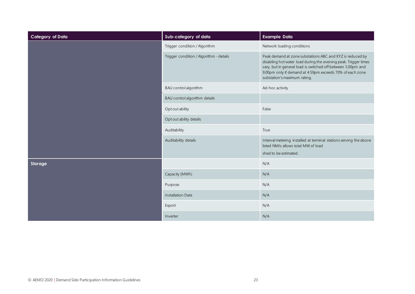| <b>Category of Data</b> | Sub-category of data                    | <b>Example Data</b>                                                                                                                                                                                                                                                                      |
|-------------------------|-----------------------------------------|------------------------------------------------------------------------------------------------------------------------------------------------------------------------------------------------------------------------------------------------------------------------------------------|
|                         | Trigger condition / Algorithm           | Network loading conditions                                                                                                                                                                                                                                                               |
|                         | Trigger condition / Algorithm - details | Peak demand at zone substations ABC and XYZ is reduced by<br>disabling hot water load during the evening peak. Trigger times<br>vary, but in general load is switched off between 5.00pm and<br>9.00pm only if demand at 4:59pm exceeds 70% of each zone<br>substation's maximum rating. |
|                         | BAU control algorithm                   | Ad-hoc activity                                                                                                                                                                                                                                                                          |
|                         | BAU control algorithm details           |                                                                                                                                                                                                                                                                                          |
|                         | Opt out ability                         | False                                                                                                                                                                                                                                                                                    |
|                         | Opt out ability details                 |                                                                                                                                                                                                                                                                                          |
|                         | Auditability                            | True                                                                                                                                                                                                                                                                                     |
|                         | Auditability details                    | Interval metering installed at terminal stations serving the above<br>listed NMIs allows total MW of load<br>shed to be estimated.                                                                                                                                                       |
| Storage                 |                                         | N/A                                                                                                                                                                                                                                                                                      |
|                         | Capacity (MWh)                          | N/A                                                                                                                                                                                                                                                                                      |
|                         | Purpose                                 | N/A                                                                                                                                                                                                                                                                                      |
|                         | <b>Installation Date</b>                | N/A                                                                                                                                                                                                                                                                                      |
|                         | Export                                  | N/A                                                                                                                                                                                                                                                                                      |
|                         | Inverter                                | N/A                                                                                                                                                                                                                                                                                      |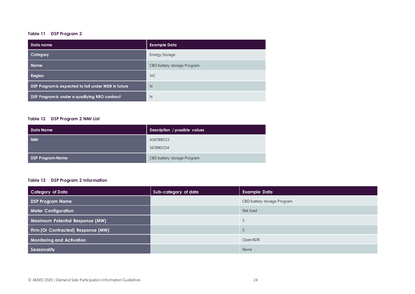#### **Table 11 DSP Program 2**

| Data name                                           | <b>Example Data</b>         |
|-----------------------------------------------------|-----------------------------|
| Category                                            | <b>Energy Storage</b>       |
| <b>Name</b>                                         | CBD battery storage Program |
| Region                                              | <b>VIC</b>                  |
| DSP Program is expected to fall under WDR in future | N                           |
| DSP Program is under a qualifying RRO contract      | N                           |

#### **Table 12 DSP Program 2 NMI List**

| Data Name               | Description / possible values |
|-------------------------|-------------------------------|
| <b>NMI</b>              | 4567890123                    |
|                         | 5678901234                    |
| <b>DSP Program Name</b> | CBD battery storage Program   |

#### **Table 13 DSP Program 2 Information**

| Category of Data                   | Sub-category of data | <b>Example Data</b>         |
|------------------------------------|----------------------|-----------------------------|
| <b>DSP Program Name</b>            |                      | CBD battery storage Program |
| <b>Meter Configuration</b>         |                      | Net load                    |
| Maximum Potential Response (MW)    |                      |                             |
| Firm (Or Contracted) Response (MW) |                      |                             |
| <b>Monitoring and Activation</b>   |                      | OpenADR                     |
| Seasonality                        |                      | None                        |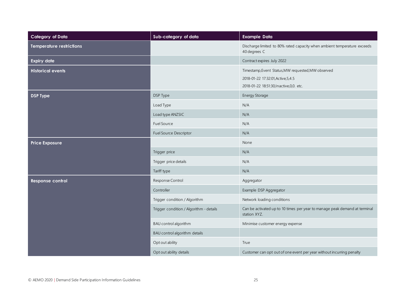| <b>Category of Data</b>         | Sub-category of data                    | <b>Example Data</b>                                                                                                                    |
|---------------------------------|-----------------------------------------|----------------------------------------------------------------------------------------------------------------------------------------|
| <b>Temperature restrictions</b> |                                         | Discharge limited to 80% rated capacity when ambient temperature exceeds<br>40 degrees C                                               |
| <b>Expiry date</b>              |                                         | Contract expires July 2022                                                                                                             |
| <b>Historical events</b>        |                                         | Timestamp, Event Status, MW requested, MW observed<br>2018-01-22 17:32:01, Active, 5, 4.5<br>2018-01-22 18:51:30, Inactive, 0, 0. etc. |
| <b>DSP Type</b>                 | DSP Type                                | Energy Storage                                                                                                                         |
|                                 | Load Type                               | N/A                                                                                                                                    |
|                                 | Load type ANZSIC                        | N/A                                                                                                                                    |
|                                 | <b>Fuel Source</b>                      | N/A                                                                                                                                    |
|                                 | Fuel Source Descriptor                  | N/A                                                                                                                                    |
| <b>Price Exposure</b>           |                                         | None                                                                                                                                   |
|                                 | Trigger price                           | N/A                                                                                                                                    |
|                                 | Trigger price details                   | N/A                                                                                                                                    |
|                                 | Tariff type                             | N/A                                                                                                                                    |
| Response control                | Response Control                        | Aggregator                                                                                                                             |
|                                 | Controller                              | Example DSP Aggregator                                                                                                                 |
|                                 | Trigger condition / Algorithm           | Network loading conditions                                                                                                             |
|                                 | Trigger condition / Algorithm - details | Can be activated up to 10 times per year to manage peak demand at terminal<br>station XYZ.                                             |
|                                 | BAU control algorithm                   | Minimise customer energy expense                                                                                                       |
|                                 | BAU control algorithm details           |                                                                                                                                        |
|                                 | Opt out ability                         | True                                                                                                                                   |
|                                 | Opt out ability details                 | Customer can opt out of one event per year without incurring penalty                                                                   |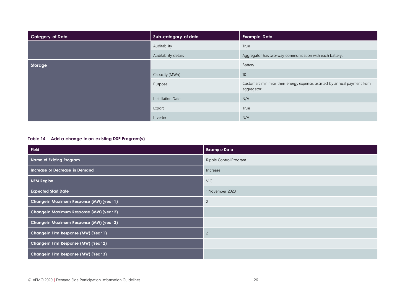| <b>Category of Data</b> | Sub-category of data | <b>Example Data</b>                                                                    |
|-------------------------|----------------------|----------------------------------------------------------------------------------------|
|                         | Auditability         | True                                                                                   |
|                         | Auditability details | Aggregator has two-way communication with each battery.                                |
| Storage                 |                      | Battery                                                                                |
|                         | Capacity (MWh)       | 10                                                                                     |
|                         | Purpose              | Customers minimise their energy expense, assisted by annual payment from<br>aggregator |
|                         | Installation Date    | N/A                                                                                    |
|                         | Export               | True                                                                                   |
|                         | Inverter             | N/A                                                                                    |

#### **Table 14 Add a change in an existing DSP Program(s)**

| <b>Field</b>                             | <b>Example Data</b>    |
|------------------------------------------|------------------------|
| Name of Existing Program                 | Ripple Control Program |
| Increase or Decrease in Demand           | Increase               |
| <b>NEM Region</b>                        | <b>VIC</b>             |
| <b>Expected Start Date</b>               | 1 November 2020        |
| Change in Maximum Response (MW) (year 1) | $\overline{c}$         |
| Change in Maximum Response (MW) (year 2) |                        |
| Change in Maximum Response (MW) (year 3) |                        |
| Change in Firm Response (MW) (Year 1)    | $\overline{2}$         |
| Change in Firm Response (MW) (Year 2)    |                        |
| Change in Firm Response (MW) (Year 3)    |                        |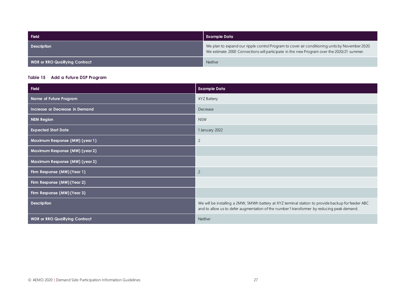| Field                          | Example Data                                                                                                                                                                                |
|--------------------------------|---------------------------------------------------------------------------------------------------------------------------------------------------------------------------------------------|
| <b>Description</b>             | We plan to expand our ripple control Program to cover air conditioning units by November 2020.<br>We estimate 2000 Connections will participate in the new Program over the 2020/21 summer. |
| WDR or RRO Qualifying Contract | <b>Neither</b>                                                                                                                                                                              |

#### **Table 15 Add a Future DSP Program**

| Field                                 | <b>Example Data</b>                                                                                                                                                                              |
|---------------------------------------|--------------------------------------------------------------------------------------------------------------------------------------------------------------------------------------------------|
| Name of Future Program                | XYZ Battery                                                                                                                                                                                      |
| Increase or Decrease in Demand        | Decrease                                                                                                                                                                                         |
| <b>NEM Region</b>                     | <b>NSW</b>                                                                                                                                                                                       |
| <b>Expected Start Date</b>            | 1 January 2022                                                                                                                                                                                   |
| Maximum Response (MW) (year 1)        | $\overline{2}$                                                                                                                                                                                   |
| Maximum Response (MW) (year 2)        |                                                                                                                                                                                                  |
| Maximum Response (MW) (year 3)        |                                                                                                                                                                                                  |
| Firm Response (MW) (Year 1)           | $\overline{c}$                                                                                                                                                                                   |
| Firm Response (MW) (Year 2)           |                                                                                                                                                                                                  |
| Firm Response (MW) (Year 3)           |                                                                                                                                                                                                  |
| <b>Description</b>                    | We will be installing a 2MW, 5MWh battery at XYZ terminal station to provide backup for feeder ABC<br>and to allow us to defer augmentation of the number 1 transformer by reducing peak demand. |
| <b>WDR or RRO Qualifying Contract</b> | Neither                                                                                                                                                                                          |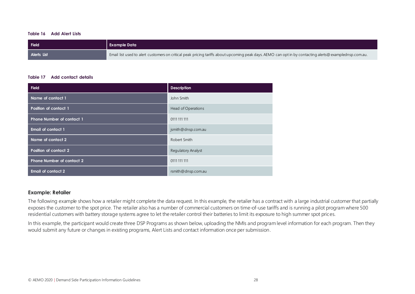#### **Table 16 Add Alert Lists**

| Field              | Example Data                                                                                                                                           |
|--------------------|--------------------------------------------------------------------------------------------------------------------------------------------------------|
| <b>Alerts List</b> | Email list used to alert customers on critical peak pricing tariffs about upcoming peak days. AEMO can opt in by contacting alerts@examplednsp.com.au. |

#### **Table 17 Add contact details**

| <b>Field</b>                     | <b>Description</b>        |
|----------------------------------|---------------------------|
| Name of contact 1                | John Smith                |
| Position of contact 1            | Head of Operations        |
| <b>Phone Number of contact 1</b> | 0111 111 111              |
| <b>Email of contact 1</b>        | jsmith@dnsp.com.au        |
| Name of contact 2                | Robert Smith              |
| Position of contact 2            | <b>Regulatory Analyst</b> |
| <b>Phone Number of contact 2</b> | 0111 111 111              |
| <b>Email of contact 2</b>        | rsmith@dnsp.com.au        |

#### **Example: Retailer**

The following example shows how a retailer might complete the data request. In this example, the retailer has a contract with a large industrial customer that partially exposes the customer to the spot price. The retailer also has a number of commercial customers on time-of-use tariffs and is running a pilot program where 500 residential customers with battery storage systems agree to let the retailer control their batteries to limit its exposure to high summer spot prices.

In this example, the participant would create three DSP Programs as shown below, uploading the NMIs and program level information for each program. Then they would submit any future or changes in existing programs, Alert Lists and contact information once per submission.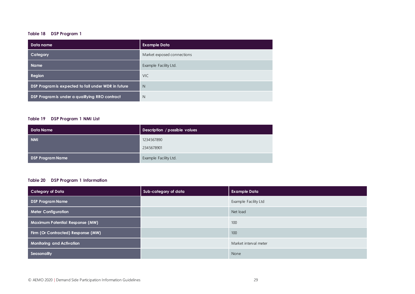#### **Table 18 DSP Program 1**

| Data name                                           | <b>Example Data</b>        |
|-----------------------------------------------------|----------------------------|
| Category                                            | Market exposed connections |
| <b>Name</b>                                         | Example Facility Ltd.      |
| Region                                              | <b>VIC</b>                 |
| DSP Program is expected to fall under WDR in future | N                          |
| DSP Program is under a qualifying RRO contract      | N                          |

#### **Table 19 DSP Program 1 NMI List**

| Data Name               | Description / possible values |
|-------------------------|-------------------------------|
| <b>NMI</b>              | 1234567890                    |
|                         | 2345678901                    |
| <b>DSP Program Name</b> | Example Facility Ltd.         |

#### **Table 20 DSP Program 1 Information**

| <b>Category of Data</b>                | Sub-category of data | <b>Example Data</b>   |
|----------------------------------------|----------------------|-----------------------|
| <b>DSP Program Name</b>                |                      | Example Facility Ltd  |
| <b>Meter Configuration</b>             |                      | Net load              |
| <b>Maximum Potential Response (MW)</b> |                      | 100                   |
| Firm (Or Contracted) Response (MW)     |                      | 100                   |
| <b>Monitoring and Activation</b>       |                      | Market interval meter |
| Seasonality                            |                      | None                  |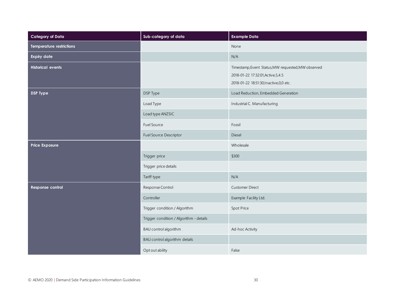| <b>Category of Data</b>         | Sub-category of data                    | <b>Example Data</b>                                                                                                                  |
|---------------------------------|-----------------------------------------|--------------------------------------------------------------------------------------------------------------------------------------|
| <b>Temperature restrictions</b> |                                         | None                                                                                                                                 |
| <b>Expiry date</b>              |                                         | N/A                                                                                                                                  |
| <b>Historical events</b>        |                                         | Timestamp, Event Status, MW requested, MW observed<br>2018-01-22 17:32:01, Active, 5, 4.5<br>2018-01-22 18:51:30, Inactive, 0,0 etc. |
| <b>DSP Type</b>                 | DSP Type                                | Load Reduction, Embedded Generation                                                                                                  |
|                                 | Load Type                               | Industrial C. Manufacturing                                                                                                          |
|                                 | Load type ANZSIC                        |                                                                                                                                      |
|                                 | Fuel Source                             | Fossil                                                                                                                               |
|                                 | Fuel Source Descriptor                  | Diesel                                                                                                                               |
| Price Exposure                  |                                         | Wholesale                                                                                                                            |
|                                 | Trigger price                           | \$300                                                                                                                                |
|                                 | Trigger price details                   |                                                                                                                                      |
|                                 | Tariff type                             | N/A                                                                                                                                  |
| Response control                | Response Control                        | Customer Direct                                                                                                                      |
|                                 | Controller                              | Example Facility Ltd.                                                                                                                |
|                                 | Trigger condition / Algorithm           | Spot Price                                                                                                                           |
|                                 | Trigger condition / Algorithm - details |                                                                                                                                      |
|                                 | BAU control algorithm                   | Ad-hoc Activity                                                                                                                      |
|                                 | BAU control algorithm details           |                                                                                                                                      |
|                                 | Opt out ability                         | False                                                                                                                                |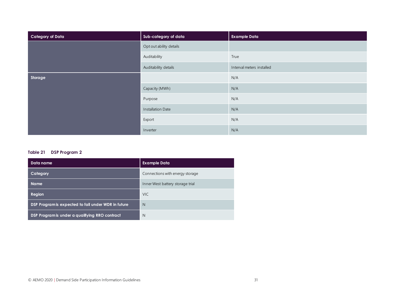| <b>Category of Data</b> | Sub-category of data     | <b>Example Data</b>       |
|-------------------------|--------------------------|---------------------------|
|                         | Opt out ability details  |                           |
|                         | Auditability             | True                      |
|                         | Auditability details     | Interval meters installed |
| Storage                 |                          | N/A                       |
|                         | Capacity (MWh)           | N/A                       |
|                         | Purpose                  | N/A                       |
|                         | <b>Installation Date</b> | N/A                       |
|                         | Export                   | N/A                       |
|                         | Inverter                 | N/A                       |

#### **Table 21 DSP Program 2**

| Data name                                           | <b>Example Data</b>              |
|-----------------------------------------------------|----------------------------------|
| Category                                            | Connections with energy storage  |
| <b>Name</b>                                         | Inner West battery storage trial |
| Region                                              | <b>VIC</b>                       |
| DSP Program is expected to fall under WDR in future | N                                |
| DSP Program is under a qualifying RRO contract      | N                                |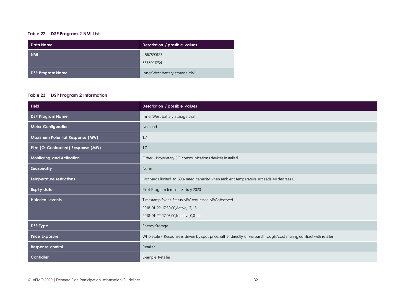#### **Table 22 DSP Program 2 NMI List**

| <b>Data Name</b>        | Description / possible values    |
|-------------------------|----------------------------------|
| <b>NMI</b>              | 4567890123                       |
|                         | 5678901234                       |
| <b>DSP Program Name</b> | Inner West battery storage trial |

#### **Table 23 DSP Program 2 Information**

| <b>Field</b>                       | Description / possible values                                                                                                           |
|------------------------------------|-----------------------------------------------------------------------------------------------------------------------------------------|
| <b>DSP Program Name</b>            | Inner West battery storage trial                                                                                                        |
| <b>Meter Configuration</b>         | Net load                                                                                                                                |
| Maximum Potential Response (MW)    | 1.7                                                                                                                                     |
| Firm (Or Contracted) Response (MW) | 1.7                                                                                                                                     |
| Monitoring and Activation          | Other - Proprietary 3G communications devices installed.                                                                                |
| Seasonality                        | None                                                                                                                                    |
| <b>Temperature restrictions</b>    | Discharge limited to 80% rated capacity when ambient temperature exceeds 40 degrees C                                                   |
| <b>Expiry date</b>                 | Pilot Program terminates July 2020                                                                                                      |
| <b>Historical events</b>           | Timestamp, Event Status, MW requested, MW observed<br>2018-01-22 17:30:00, Active, 1.7, 1.5<br>2018-01-22 17:05:00, Inactive, 0, 0 etc. |
| <b>DSP Type</b>                    | Energy Storage                                                                                                                          |
| <b>Price Exposure</b>              | Wholesale - Response is driven by spot price, either directly or via passthrough/cost sharing contract with retailer                    |
| Response control                   | Retailer                                                                                                                                |
| Controller                         | Example Retailer                                                                                                                        |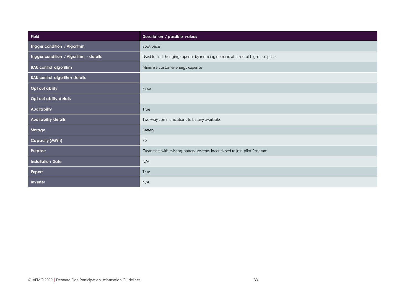| Field                                   | Description / possible values                                                 |
|-----------------------------------------|-------------------------------------------------------------------------------|
| Trigger condition / Algorithm           | Spot price                                                                    |
| Trigger condition / Algorithm - details | Used to limit hedging expense by reducing demand at times of high spot price. |
| <b>BAU</b> control algorithm            | Minimise customer energy expense                                              |
| <b>BAU control algorithm details</b>    |                                                                               |
| Opt out ability                         | False                                                                         |
| Opt out ability details                 |                                                                               |
| <b>Auditability</b>                     | True                                                                          |
| <b>Auditability details</b>             | Two-way communications to battery available.                                  |
| Storage                                 | Battery                                                                       |
| <b>Capacity (MWh)</b>                   | 3.2                                                                           |
| Purpose                                 | Customers with existing battery systems incentivised to join pilot Program.   |
| <b>Installation Date</b>                | N/A                                                                           |
| Export                                  | True                                                                          |
| Inverter                                | N/A                                                                           |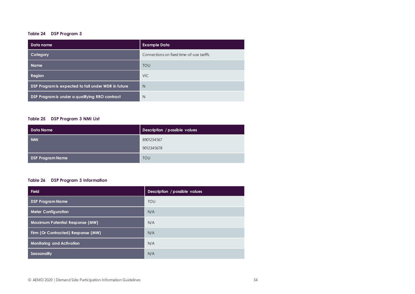#### **Table 24 DSP Program 3**

| Data name                                           | <b>Example Data</b>                      |
|-----------------------------------------------------|------------------------------------------|
| Category                                            | Connections on fixed time-of-use tariffs |
| <b>Name</b>                                         | <b>TOU</b>                               |
| Region                                              | <b>VIC</b>                               |
| DSP Program is expected to fall under WDR in future | N                                        |
| DSP Program is under a qualifying RRO contract      | N                                        |

#### **Table 25 DSP Program 3 NMI List**

| Data Name               | Description / possible values |
|-------------------------|-------------------------------|
| <b>NMI</b>              | 8901234567                    |
|                         | 9012345678                    |
| <b>DSP Program Name</b> | <b>TOU</b>                    |

#### **Table 26 DSP Program 3 Information**

| <b>Field</b>                           | Description / possible values |
|----------------------------------------|-------------------------------|
| <b>DSP Program Name</b>                | <b>TOU</b>                    |
| <b>Meter Configuration</b>             | N/A                           |
| <b>Maximum Potential Response (MW)</b> | N/A                           |
| Firm (Or Contracted) Response (MW)     | N/A                           |
| <b>Monitoring and Activation</b>       | N/A                           |
| Seasonality                            | N/A                           |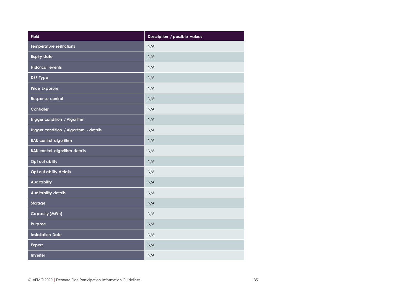| <b>Field</b>                            | Description / possible values |
|-----------------------------------------|-------------------------------|
| <b>Temperature restrictions</b>         | N/A                           |
| <b>Expiry date</b>                      | N/A                           |
| <b>Historical events</b>                | N/A                           |
| <b>DSP Type</b>                         | N/A                           |
| <b>Price Exposure</b>                   | N/A                           |
| Response control                        | N/A                           |
| Controller                              | N/A                           |
| Trigger condition / Algorithm           | N/A                           |
| Trigger condition / Algorithm - details | N/A                           |
| <b>BAU control algorithm</b>            | N/A                           |
| <b>BAU control algorithm details</b>    | N/A                           |
| Opt out ability                         | N/A                           |
| Opt out ability details                 | N/A                           |
| <b>Auditability</b>                     | N/A                           |
| <b>Auditability details</b>             | N/A                           |
| Storage                                 | N/A                           |
| <b>Capacity (MWh)</b>                   | N/A                           |
| Purpose                                 | N/A                           |
| <b>Installation Date</b>                | N/A                           |
| Export                                  | N/A                           |
| Inverter                                | N/A                           |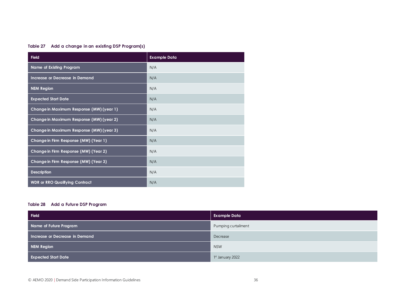#### **Table 27 Add a change in an existing DSP Program(s)**

| <b>Field</b>                             | <b>Example Data</b> |
|------------------------------------------|---------------------|
| <b>Name of Existing Program</b>          | N/A                 |
| Increase or Decrease in Demand           | N/A                 |
| <b>NEM Region</b>                        | N/A                 |
| <b>Expected Start Date</b>               | N/A                 |
| Change in Maximum Response (MW) (year 1) | N/A                 |
| Change in Maximum Response (MW) (year 2) | N/A                 |
| Change in Maximum Response (MW) (year 3) | N/A                 |
| Change in Firm Response (MW) (Year 1)    | N/A                 |
| Change in Firm Response (MW) (Year 2)    | N/A                 |
| Change in Firm Response (MW) (Year 3)    | N/A                 |
| <b>Description</b>                       | N/A                 |
| <b>WDR or RRO Qualifying Contract</b>    | N/A                 |

#### **Table 28 Add a Future DSP Program**

| Field                          | <b>Example Data</b>         |
|--------------------------------|-----------------------------|
| Name of Future Program         | Pumping curtailment         |
| Increase or Decrease in Demand | Decrease                    |
| NEM Region                     | <b>NSW</b>                  |
| <b>Expected Start Date</b>     | <sup>1st</sup> January 2022 |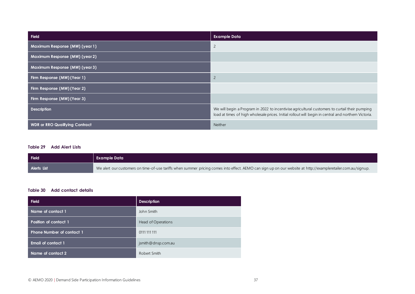| <b>Field</b>                          | <b>Example Data</b>                                                                                                                                                                                    |
|---------------------------------------|--------------------------------------------------------------------------------------------------------------------------------------------------------------------------------------------------------|
| Maximum Response (MW) (year 1)        | $\overline{c}$                                                                                                                                                                                         |
| Maximum Response (MW) (year 2)        |                                                                                                                                                                                                        |
| Maximum Response (MW) (year 3)        |                                                                                                                                                                                                        |
| Firm Response (MW) (Year 1)           | $\overline{c}$                                                                                                                                                                                         |
| Firm Response (MW) (Year 2)           |                                                                                                                                                                                                        |
| Firm Response (MW) (Year 3)           |                                                                                                                                                                                                        |
| <b>Description</b>                    | We will begin a Program in 2022 to incentivise agricultural customers to curtail their pumping<br>load at times of high wholesale prices. Initial rollout will begin in central and northern Victoria. |
| <b>WDR or RRO Qualifying Contract</b> | Neither                                                                                                                                                                                                |

#### **Table 29 Add Alert Lists**

| Field              | <b>Example Data</b>                                                                                                                                           |
|--------------------|---------------------------------------------------------------------------------------------------------------------------------------------------------------|
| <b>Alerts List</b> | We alert our customers on time-of-use tariffs when summer pricing comes into effect. AEMO can sign up on our website at http://exampleretailer.com.au/signup. |

#### **Table 30 Add contact details**

| <b>Field</b>                     | <b>Description</b> |
|----------------------------------|--------------------|
| Name of contact 1                | John Smith         |
| Position of contact 1            | Head of Operations |
| <b>Phone Number of contact 1</b> | 0111 111 111       |
| <b>Email of contact 1</b>        | jsmith@dnsp.com.au |
| Name of contact 2                | Robert Smith       |